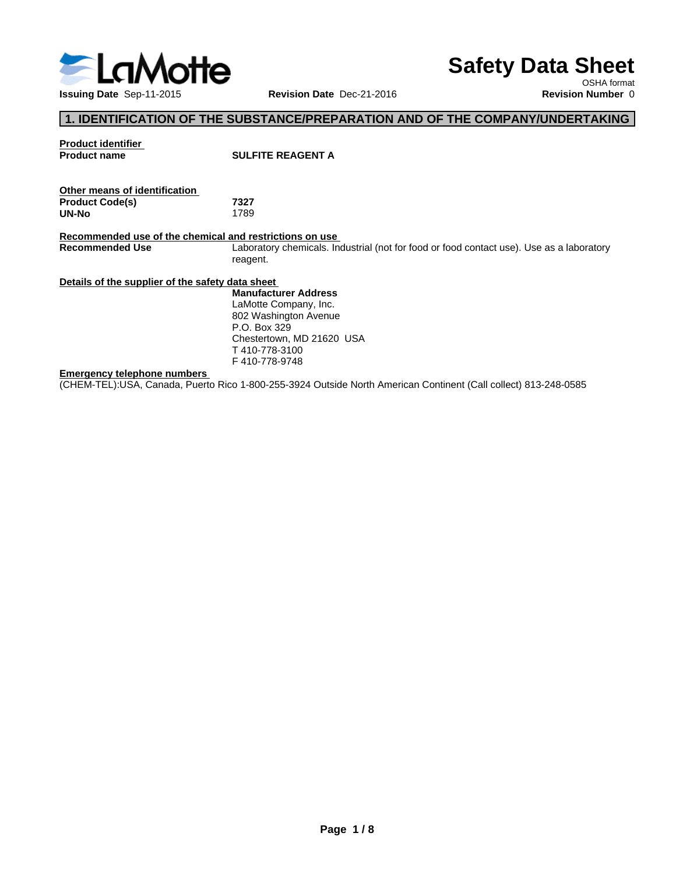

# **Safety Data Sheet**

OSHA format

# **1. IDENTIFICATION OF THE SUBSTANCE/PREPARATION AND OF THE COMPANY/UNDERTAKING**

| <b>Product identifier</b><br><b>Product name</b>                                  | <b>SULFITE REAGENT A</b>                                                                             |
|-----------------------------------------------------------------------------------|------------------------------------------------------------------------------------------------------|
| Other means of identification                                                     |                                                                                                      |
| <b>Product Code(s)</b>                                                            | 7327                                                                                                 |
| UN-No                                                                             | 1789                                                                                                 |
| Recommended use of the chemical and restrictions on use<br><b>Recommended Use</b> | Laboratory chemicals. Industrial (not for food or food contact use). Use as a laboratory<br>reagent. |
| Details of the supplier of the safety data sheet                                  |                                                                                                      |
|                                                                                   | <b>Manufacturer Address</b>                                                                          |
|                                                                                   | LaMotte Company, Inc.                                                                                |
|                                                                                   | 802 Washington Avenue                                                                                |
|                                                                                   | P.O. Box 329                                                                                         |
|                                                                                   | Chestertown, MD 21620 USA                                                                            |
|                                                                                   | T410-778-3100                                                                                        |
|                                                                                   | F410-778-9748                                                                                        |
|                                                                                   |                                                                                                      |

#### **Emergency telephone numbers**

(CHEM-TEL):USA, Canada, Puerto Rico 1-800-255-3924 Outside North American Continent (Call collect) 813-248-0585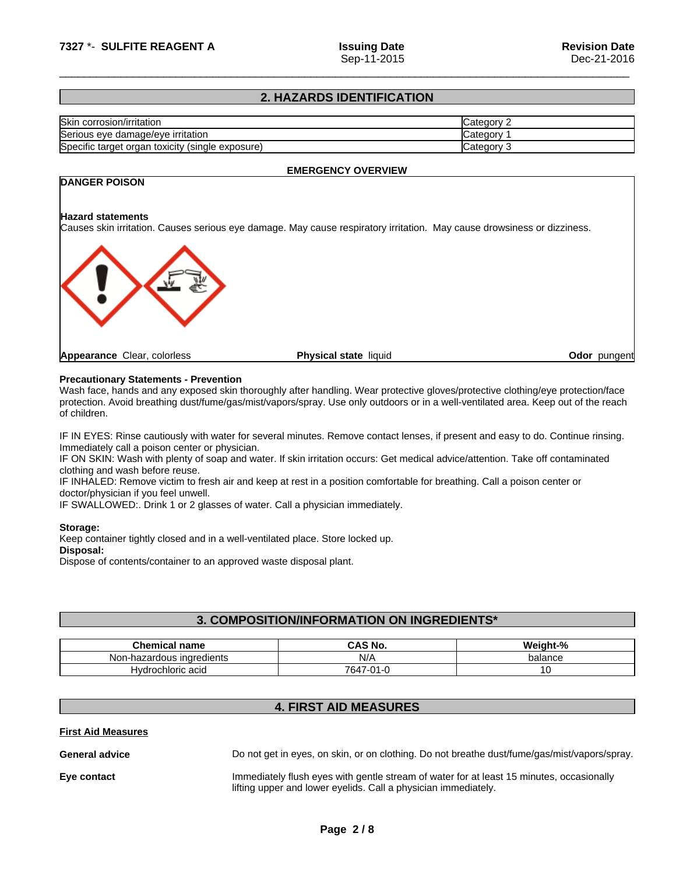# **2. HAZARDS IDENTIFICATION**

| Skin<br>corrosion/irritation                              | ∵ategorس          |
|-----------------------------------------------------------|-------------------|
| Serious eye<br>damage/eve irritation ؛                    | 'ategorب.         |
| Specific target organ<br>toxicity<br>(sinale<br>exposure) | ∵ategoryٽ<br>- 14 |

**EMERGENCY OVERVIEW**

# **DANGER POISON**

## **Hazard statements**

Causes skin irritation. Causes serious eye damage. May cause respiratory irritation. May cause drowsiness or dizziness.



# **Precautionary Statements - Prevention**

Wash face, hands and any exposed skin thoroughly after handling. Wear protective gloves/protective clothing/eye protection/face protection. Avoid breathing dust/fume/gas/mist/vapors/spray. Use only outdoors or in a well-ventilated area. Keep out of the reach of children.

IF IN EYES: Rinse cautiously with water for several minutes. Remove contact lenses, if present and easy to do. Continue rinsing. Immediately call a poison center or physician.

IF ON SKIN: Wash with plenty of soap and water. If skin irritation occurs: Get medical advice/attention. Take off contaminated clothing and wash before reuse.

IF INHALED: Remove victim to fresh air and keep at rest in a position comfortable for breathing. Call a poison center or doctor/physician if you feel unwell.

IF SWALLOWED:. Drink 1 or 2 glasses of water. Call a physician immediately.

#### **Storage:**

Keep container tightly closed and in a well-ventilated place. Store locked up. **Disposal:**

Dispose of contents/container to an approved waste disposal plant.

# **3. COMPOSITION/INFORMATION ON INGREDIENTS\***

| Chemical<br>' name                   | - - -<br>NO.<br>uno                  | $\mathbf{a}$<br>W.<br>ni sh<br>70 |
|--------------------------------------|--------------------------------------|-----------------------------------|
| Non-hazardous ingredients            | NI/ <i>F</i><br>1 W Z                | balance                           |
| wdrochloric acid<br>Hv.<br>iunu aulu | 7647<br>$\sim$ $\sim$<br>7 - U<br>-- | ັ                                 |

# **4. FIRST AID MEASURES**

#### **First Aid Measures**

General **advice Do not get in eyes, on skin, or on clothing. Do not breathe dust/fume/gas/mist/vapors/spray. Eye contact Immediately flush eyes with gentle stream of water for at least 15 minutes, occasionally** lifting upper and lower eyelids. Call a physician immediately.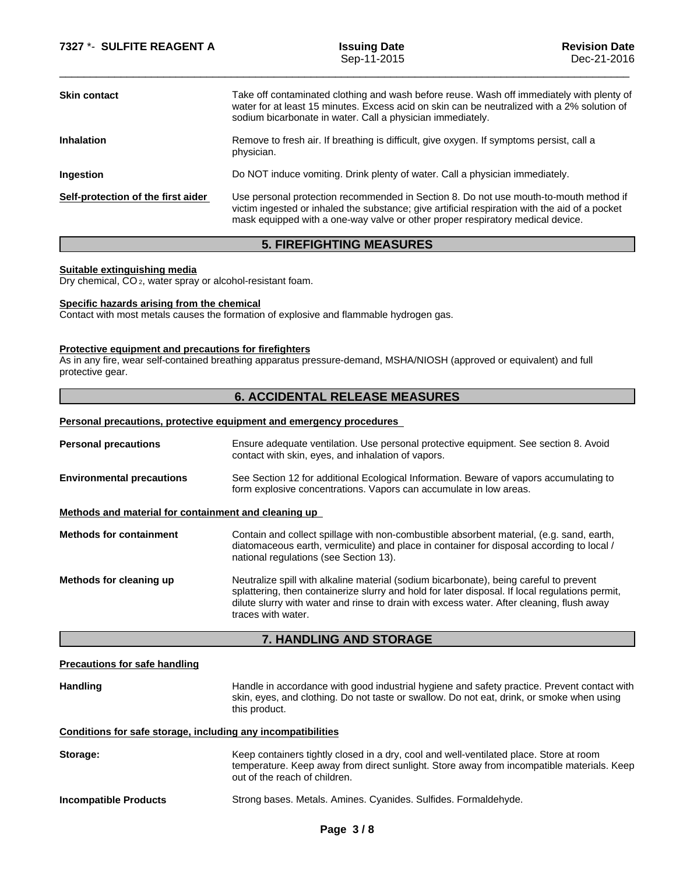| <b>Skin contact</b>                | Take off contaminated clothing and wash before reuse. Wash off immediately with plenty of<br>water for at least 15 minutes. Excess acid on skin can be neutralized with a 2% solution of<br>sodium bicarbonate in water. Call a physician immediately.                    |
|------------------------------------|---------------------------------------------------------------------------------------------------------------------------------------------------------------------------------------------------------------------------------------------------------------------------|
| <b>Inhalation</b>                  | Remove to fresh air. If breathing is difficult, give oxygen. If symptoms persist, call a<br>physician.                                                                                                                                                                    |
| <b>Ingestion</b>                   | Do NOT induce vomiting. Drink plenty of water. Call a physician immediately.                                                                                                                                                                                              |
| Self-protection of the first aider | Use personal protection recommended in Section 8. Do not use mouth-to-mouth method if<br>victim ingested or inhaled the substance; give artificial respiration with the aid of a pocket<br>mask equipped with a one-way valve or other proper respiratory medical device. |
|                                    |                                                                                                                                                                                                                                                                           |

# **5. FIREFIGHTING MEASURES**

#### **Suitable extinguishing media**

Dry chemical, CO 2, water spray or alcohol-resistant foam.

### **Specific hazards arising from the chemical**

Contact with most metals causes the formation of explosive and flammable hydrogen gas.

#### **Protective equipment and precautions for firefighters**

As in any fire, wear self-contained breathing apparatus pressure-demand, MSHA/NIOSH (approved or equivalent) and full protective gear.

# **6. ACCIDENTAL RELEASE MEASURES**

#### **Personal precautions, protective equipment and emergency procedures**

| <b>Personal precautions</b>                          | Ensure adequate ventilation. Use personal protective equipment. See section 8. Avoid<br>contact with skin, eyes, and inhalation of vapors.                                                                                                                                                                   |  |  |
|------------------------------------------------------|--------------------------------------------------------------------------------------------------------------------------------------------------------------------------------------------------------------------------------------------------------------------------------------------------------------|--|--|
| <b>Environmental precautions</b>                     | See Section 12 for additional Ecological Information. Beware of vapors accumulating to<br>form explosive concentrations. Vapors can accumulate in low areas.                                                                                                                                                 |  |  |
| Methods and material for containment and cleaning up |                                                                                                                                                                                                                                                                                                              |  |  |
| <b>Methods for containment</b>                       | Contain and collect spillage with non-combustible absorbent material, (e.g. sand, earth,<br>diatomaceous earth, vermiculite) and place in container for disposal according to local /<br>national regulations (see Section 13).                                                                              |  |  |
| Methods for cleaning up                              | Neutralize spill with alkaline material (sodium bicarbonate), being careful to prevent<br>splattering, then containerize slurry and hold for later disposal. If local regulations permit,<br>dilute slurry with water and rinse to drain with excess water. After cleaning, flush away<br>traces with water. |  |  |
|                                                      | <b>7. HANDLING AND STORAGE</b>                                                                                                                                                                                                                                                                               |  |  |
| <b>Precautions for safe handling</b>                 |                                                                                                                                                                                                                                                                                                              |  |  |
| <b>Handling</b>                                      | Handle in accordance with good industrial hygiene and safety practice. Prevent contact with<br>skin, eyes, and clothing. Do not taste or swallow. Do not eat, drink, or smoke when using<br>this product.                                                                                                    |  |  |
|                                                      | Conditions for safe storage, including any incompatibilities                                                                                                                                                                                                                                                 |  |  |
| Storage:                                             | Keep containers tightly closed in a dry, cool and well-ventilated place. Store at room                                                                                                                                                                                                                       |  |  |

temperature. Keep away from direct sunlight. Store away from incompatible materials. Keep out of the reach of children.

**Incompatible Products** Strong bases. Metals. Amines. Cyanides. Sulfides. Formaldehyde.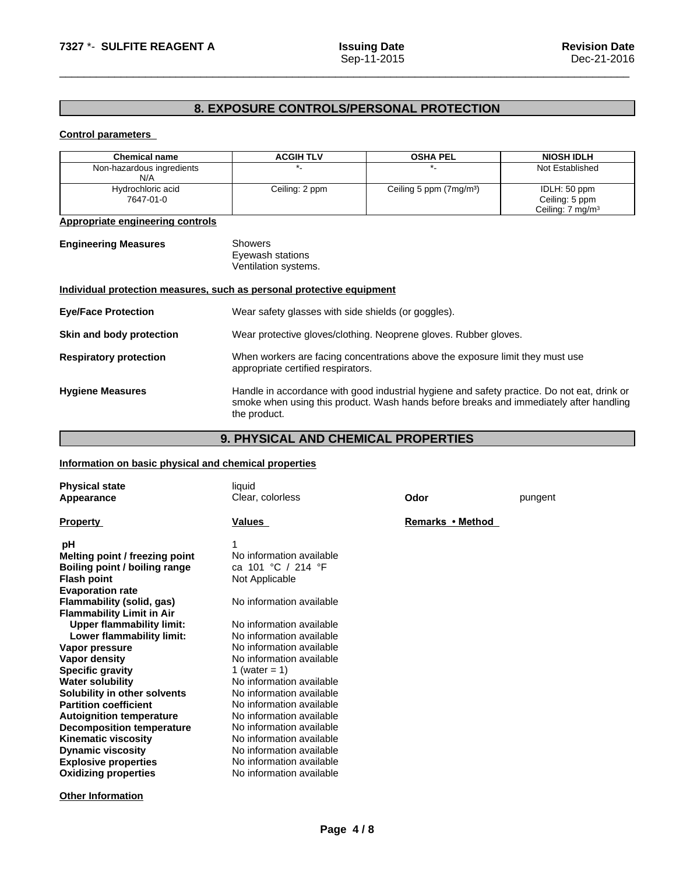# **8. EXPOSURE CONTROLS/PERSONAL PROTECTION**

# **Control parameters**

| <b>Chemical name</b>                                                  | <b>ACGIH TLV</b>                                                                                                                                                                                      | <b>OSHA PEL</b>                                     | <b>NIOSH IDLH</b>            |  |
|-----------------------------------------------------------------------|-------------------------------------------------------------------------------------------------------------------------------------------------------------------------------------------------------|-----------------------------------------------------|------------------------------|--|
| Non-hazardous ingredients                                             | *.                                                                                                                                                                                                    | $^{\star}$ .                                        | Not Established              |  |
| N/A                                                                   |                                                                                                                                                                                                       |                                                     |                              |  |
| Hydrochloric acid                                                     | Ceiling: 2 ppm                                                                                                                                                                                        | Ceiling 5 ppm (7mg/m <sup>3</sup> )                 | IDLH: 50 ppm                 |  |
| 7647-01-0                                                             |                                                                                                                                                                                                       |                                                     | Ceiling: 5 ppm               |  |
|                                                                       |                                                                                                                                                                                                       |                                                     | Ceiling: 7 mg/m <sup>3</sup> |  |
| <b>Appropriate engineering controls</b>                               |                                                                                                                                                                                                       |                                                     |                              |  |
| <b>Engineering Measures</b>                                           | <b>Showers</b><br>Eyewash stations<br>Ventilation systems.                                                                                                                                            |                                                     |                              |  |
| Individual protection measures, such as personal protective equipment |                                                                                                                                                                                                       |                                                     |                              |  |
| <b>Eye/Face Protection</b>                                            |                                                                                                                                                                                                       | Wear safety glasses with side shields (or goggles). |                              |  |
| Skin and body protection                                              | Wear protective gloves/clothing. Neoprene gloves. Rubber gloves.                                                                                                                                      |                                                     |                              |  |
| <b>Respiratory protection</b>                                         | When workers are facing concentrations above the exposure limit they must use<br>appropriate certified respirators.                                                                                   |                                                     |                              |  |
| <b>Hygiene Measures</b>                                               | Handle in accordance with good industrial hygiene and safety practice. Do not eat, drink or<br>smoke when using this product. Wash hands before breaks and immediately after handling<br>the product. |                                                     |                              |  |
|                                                                       |                                                                                                                                                                                                       |                                                     |                              |  |

# **9. PHYSICAL AND CHEMICAL PROPERTIES**

# **Information on basic physical and chemical properties**

| <b>Physical state</b><br>Appearance                                                                                                                                                                                                                                                                                                                                                                                                                                                                                                                                               | liquid<br>Clear, colorless                                                                                                                                                                                                                                                                                                                                                                                                                                    | Odor             | pungent |
|-----------------------------------------------------------------------------------------------------------------------------------------------------------------------------------------------------------------------------------------------------------------------------------------------------------------------------------------------------------------------------------------------------------------------------------------------------------------------------------------------------------------------------------------------------------------------------------|---------------------------------------------------------------------------------------------------------------------------------------------------------------------------------------------------------------------------------------------------------------------------------------------------------------------------------------------------------------------------------------------------------------------------------------------------------------|------------------|---------|
| <b>Property</b>                                                                                                                                                                                                                                                                                                                                                                                                                                                                                                                                                                   | Values                                                                                                                                                                                                                                                                                                                                                                                                                                                        | Remarks • Method |         |
| рH<br>Melting point / freezing point<br>Boiling point / boiling range<br><b>Flash point</b><br><b>Evaporation rate</b><br>Flammability (solid, gas)<br><b>Flammability Limit in Air</b><br><b>Upper flammability limit:</b><br>Lower flammability limit:<br>Vapor pressure<br>Vapor density<br><b>Specific gravity</b><br><b>Water solubility</b><br>Solubility in other solvents<br><b>Partition coefficient</b><br><b>Autoignition temperature</b><br><b>Decomposition temperature</b><br><b>Kinematic viscosity</b><br><b>Dynamic viscosity</b><br><b>Explosive properties</b> | No information available<br>ca 101 °C / 214 °F<br>Not Applicable<br>No information available<br>No information available<br>No information available<br>No information available<br>No information available<br>1 (water = 1)<br>No information available<br>No information available<br>No information available<br>No information available<br>No information available<br>No information available<br>No information available<br>No information available |                  |         |
| <b>Oxidizing properties</b>                                                                                                                                                                                                                                                                                                                                                                                                                                                                                                                                                       | No information available                                                                                                                                                                                                                                                                                                                                                                                                                                      |                  |         |

**Other Information**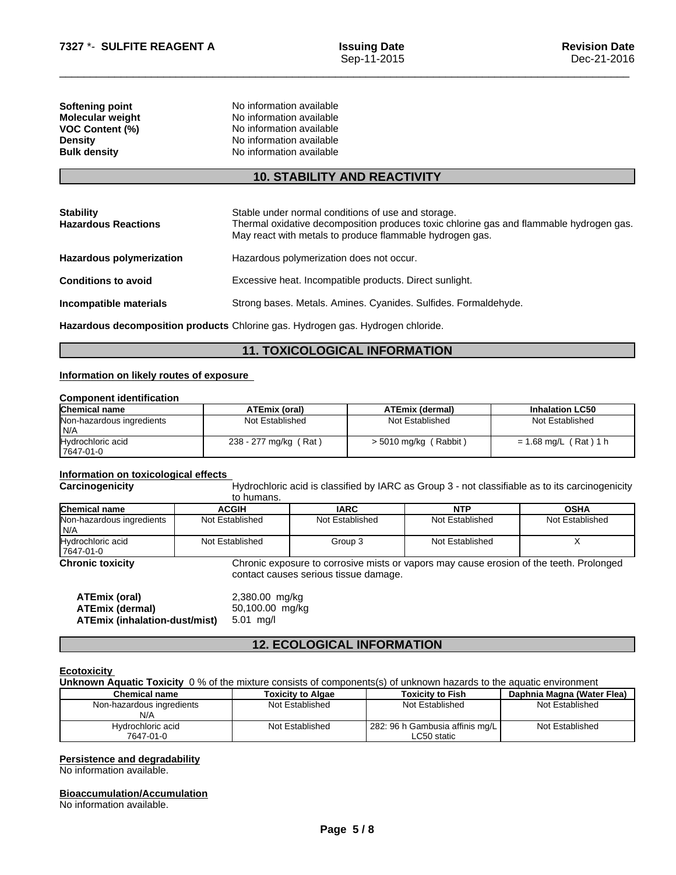| Softening point         | No information available |
|-------------------------|--------------------------|
| <b>Molecular weight</b> | No information available |
| <b>VOC Content (%)</b>  | No information available |
| <b>Density</b>          | No information available |
| <b>Bulk density</b>     | No information available |

# **10. STABILITY AND REACTIVITY**

| <b>Stability</b><br><b>Hazardous Reactions</b>                                  | Stable under normal conditions of use and storage.<br>Thermal oxidative decomposition produces toxic chlorine gas and flammable hydrogen gas.<br>May react with metals to produce flammable hydrogen gas. |  |  |
|---------------------------------------------------------------------------------|-----------------------------------------------------------------------------------------------------------------------------------------------------------------------------------------------------------|--|--|
| <b>Hazardous polymerization</b>                                                 | Hazardous polymerization does not occur.                                                                                                                                                                  |  |  |
| <b>Conditions to avoid</b>                                                      | Excessive heat. Incompatible products. Direct sunlight.                                                                                                                                                   |  |  |
| Incompatible materials                                                          | Strong bases. Metals. Amines. Cyanides. Sulfides. Formaldehyde.                                                                                                                                           |  |  |
| Hazardous decomposition products Chlorine gas. Hydrogen gas. Hydrogen chloride. |                                                                                                                                                                                                           |  |  |

# **11. TOXICOLOGICAL INFORMATION**

#### **Information on likely routes of exposure**

# **Component identification**

| <b>Chemical name</b>      | ATEmix (oral)         | <b>ATEmix (dermal)</b>  | <b>Inhalation LC50</b>  |
|---------------------------|-----------------------|-------------------------|-------------------------|
| Non-hazardous ingredients | Not Established       | Not Established         | Not Established         |
| IN/A                      |                       |                         |                         |
| Hydrochloric acid         | 238 - 277 mg/kg (Rat) | $>$ 5010 mg/kg (Rabbit) | $= 1.68$ mg/L (Rat) 1 h |
| 17647-01-0                |                       |                         |                         |

# **Information on toxicological effects**

**Carcinogenicity** Hydrochloric acid is classified by IARC as Group 3 - not classifiable as to its carcinogenicity to humans.

| Chemical name                     | ACGIH           | <b>IARC</b>     | <b>NTP</b>      | <b>OSHA</b>     |
|-----------------------------------|-----------------|-----------------|-----------------|-----------------|
| Non-hazardous ingredients<br>IN/A | Not Established | Not Established | Not Established | Not Established |
| Hydrochloric acid<br>17647-01-0   | Not Established | Group 3         | Not Established |                 |

**Chronic toxicity** Chronic exposure to corrosive mists or vapors may cause erosion of the teeth. Prolonged contact causes serious tissue damage.

| ATEmix (oral)                 | 2,380.00 mg/kg  |
|-------------------------------|-----------------|
| ATEmix (dermal)               | 50,100.00 mg/kg |
| ATEmix (inhalation-dust/mist) | 5.01 ma/l       |

# **12. ECOLOGICAL INFORMATION**

#### **Ecotoxicity**

**Unknown Aquatic Toxicity** 0 % of the mixture consists of components(s) of unknown hazards to the aquatic environment

| <b>Chemical name</b>      | Toxicity to Algae | <b>Toxicity to Fish</b>         | Daphnia Magna (Water Flea) |
|---------------------------|-------------------|---------------------------------|----------------------------|
| Non-hazardous ingredients | Not Established   | Not Established                 | Not Established            |
| N/A                       |                   |                                 |                            |
| Hydrochloric acid         | Not Established   | 282: 96 h Gambusia affinis mg/L | Not Established            |
| 7647-01-0                 |                   | LC50 static                     |                            |

# **Persistence and degradability**

No information available.

#### **Bioaccumulation/Accumulation**

No information available.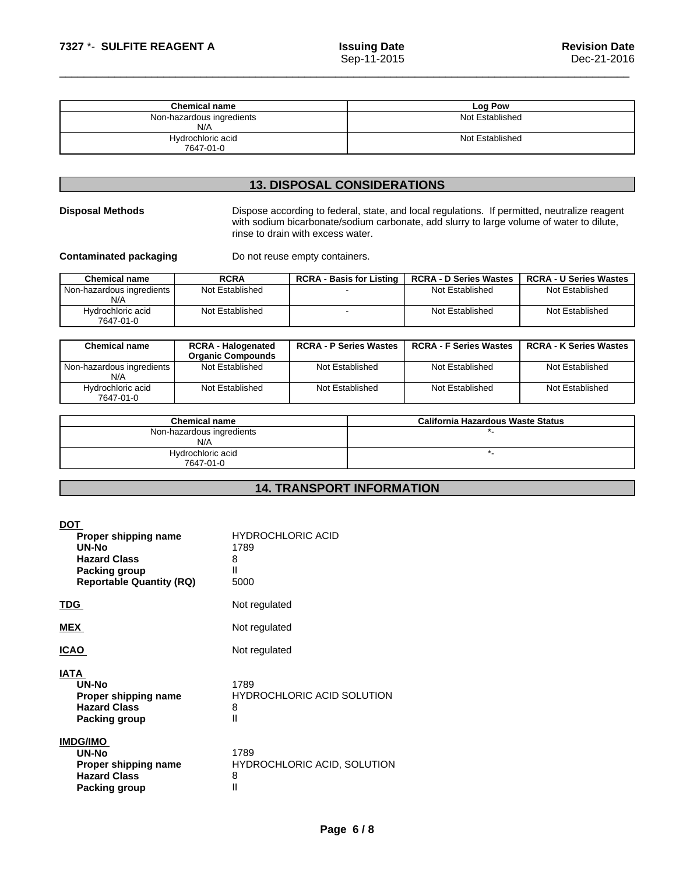| <b>Chemical name</b>             | Log Pow         |
|----------------------------------|-----------------|
| Non-hazardous ingredients<br>N/A | Not Established |
| Hydrochloric acid<br>7647-01-0   | Not Established |

# **13. DISPOSAL CONSIDERATIONS**

**Disposal Methods** Dispose according to federal, state, and local regulations. If permitted, neutralize reagent with sodium bicarbonate/sodium carbonate, add slurry to large volume of water to dilute, rinse to drain with excess water.

**Contaminated packaging** Do not reuse empty containers.

| <b>Chemical name</b>               | <b>RCRA</b>     | <b>RCRA - Basis for Listing</b> | <b>RCRA - D Series Wastes</b> | <b>RCRA - U Series Wastes</b> |
|------------------------------------|-----------------|---------------------------------|-------------------------------|-------------------------------|
| Non-hazardous ingredients I<br>N/A | Not Established |                                 | Not Established               | Not Established               |
| Hydrochloric acid<br>7647-01-0     | Not Established |                                 | Not Established               | Not Established               |

| <b>Chemical name</b>             | <b>RCRA - Halogenated</b><br><b>Organic Compounds</b> | <b>RCRA - P Series Wastes</b> | <b>RCRA - F Series Wastes</b>     | <b>RCRA - K Series Wastes</b> |
|----------------------------------|-------------------------------------------------------|-------------------------------|-----------------------------------|-------------------------------|
| Non-hazardous ingredients<br>N/A | Not Established                                       | Not Established               | Not Established                   | Not Established               |
| Hydrochloric acid<br>7647-01-0   | Not Established                                       | Not Established               | Not Established                   | Not Established               |
|                                  | Chamical nama                                         |                               | California Hazardous Waste Status |                               |

| <b>Chemical name</b>      | California Hazardous Waste Status |
|---------------------------|-----------------------------------|
| Non-hazardous ingredients |                                   |
| N/A                       |                                   |
| Hydrochloric acid         |                                   |
| 7647-01-0                 |                                   |

# **14. TRANSPORT INFORMATION**

| <b>DOT</b><br>Proper shipping name<br>UN-No<br><b>Hazard Class</b><br>Packing group<br><b>Reportable Quantity (RQ)</b> | <b>HYDROCHLORIC ACID</b><br>1789<br>8<br>Ш<br>5000   |
|------------------------------------------------------------------------------------------------------------------------|------------------------------------------------------|
| <b>TDG</b>                                                                                                             | Not regulated                                        |
| <b>MEX</b>                                                                                                             | Not regulated                                        |
| <b>ICAO</b>                                                                                                            | Not regulated                                        |
| <b>IATA</b><br>UN-No<br>Proper shipping name<br><b>Hazard Class</b><br><b>Packing group</b>                            | 1789<br><b>HYDROCHLORIC ACID SOLUTION</b><br>8<br>Ш  |
| <b>IMDG/IMO</b><br>UN-No<br>Proper shipping name<br><b>Hazard Class</b><br><b>Packing group</b>                        | 1789<br><b>HYDROCHLORIC ACID, SOLUTION</b><br>8<br>Ш |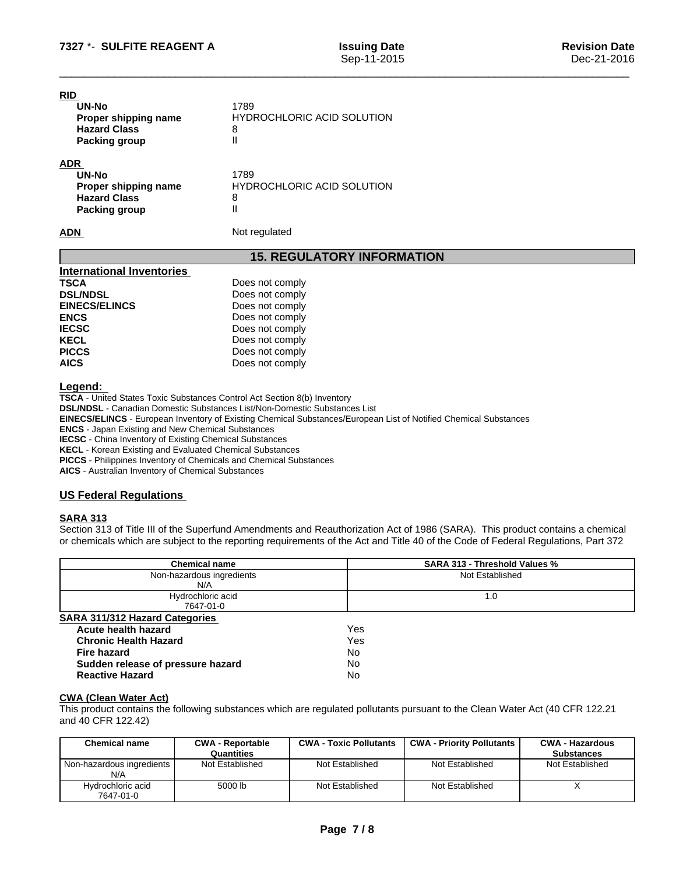| <b>RID</b>           |                                   |  |
|----------------------|-----------------------------------|--|
| UN-No                | 1789                              |  |
| Proper shipping name | <b>HYDROCHLORIC ACID SOLUTION</b> |  |
| <b>Hazard Class</b>  | 8                                 |  |
| <b>Packing group</b> | Ш                                 |  |
| <b>ADR</b>           |                                   |  |
| UN-No                | 1789                              |  |
| Proper shipping name | <b>HYDROCHLORIC ACID SOLUTION</b> |  |
| <b>Hazard Class</b>  | 8                                 |  |
| <b>Packing group</b> | Ш                                 |  |

**15. REGULATORY INFORMATION**

| Does not comply |
|-----------------|
| Does not comply |
| Does not comply |
| Does not comply |
| Does not comply |
| Does not comply |
| Does not comply |
| Does not comply |
|                 |

**ADN** Not regulated

**Legend:** 

**TSCA** - United States Toxic Substances Control Act Section 8(b) Inventory

**DSL/NDSL** - Canadian Domestic Substances List/Non-Domestic Substances List

**EINECS/ELINCS** - European Inventory of Existing Chemical Substances/European List of Notified Chemical Substances

**ENCS** - Japan Existing and New Chemical Substances

**IECSC** - China Inventory of Existing Chemical Substances

**KECL** - Korean Existing and Evaluated Chemical Substances

**PICCS** - Philippines Inventory of Chemicals and Chemical Substances

**AICS** - Australian Inventory of Chemical Substances

# **US Federal Regulations**

# **SARA 313**

Section 313 of Title III of the Superfund Amendments and Reauthorization Act of 1986 (SARA). This product contains a chemical or chemicals which are subject to the reporting requirements of the Act and Title 40 of the Code of Federal Regulations, Part 372

| <b>Chemical name</b>                  | SARA 313 - Threshold Values % |
|---------------------------------------|-------------------------------|
| Non-hazardous ingredients<br>N/A      | Not Established               |
| Hydrochloric acid<br>7647-01-0        | 1.0                           |
| <b>SARA 311/312 Hazard Categories</b> |                               |
| Acute health hazard                   | Yes                           |
| <b>Chronic Health Hazard</b>          | Yes                           |
| Fire hazard                           | No.                           |
| Sudden release of pressure hazard     | No                            |
| <b>Reactive Hazard</b>                | No                            |

### **CWA (Clean WaterAct)**

This product contains the following substances which are regulated pollutants pursuant to the Clean Water Act (40 CFR 122.21 and 40 CFR 122.42)

| <b>Chemical name</b>             | <b>CWA - Reportable</b><br>Quantities | <b>CWA - Toxic Pollutants</b> | <b>CWA - Priority Pollutants</b> | <b>CWA - Hazardous</b><br><b>Substances</b> |
|----------------------------------|---------------------------------------|-------------------------------|----------------------------------|---------------------------------------------|
| Non-hazardous ingredients<br>N/A | Not Established                       | Not Established               | Not Established                  | Not Established                             |
| Hydrochloric acid<br>7647-01-0   | 5000 lb                               | Not Established               | Not Established                  |                                             |